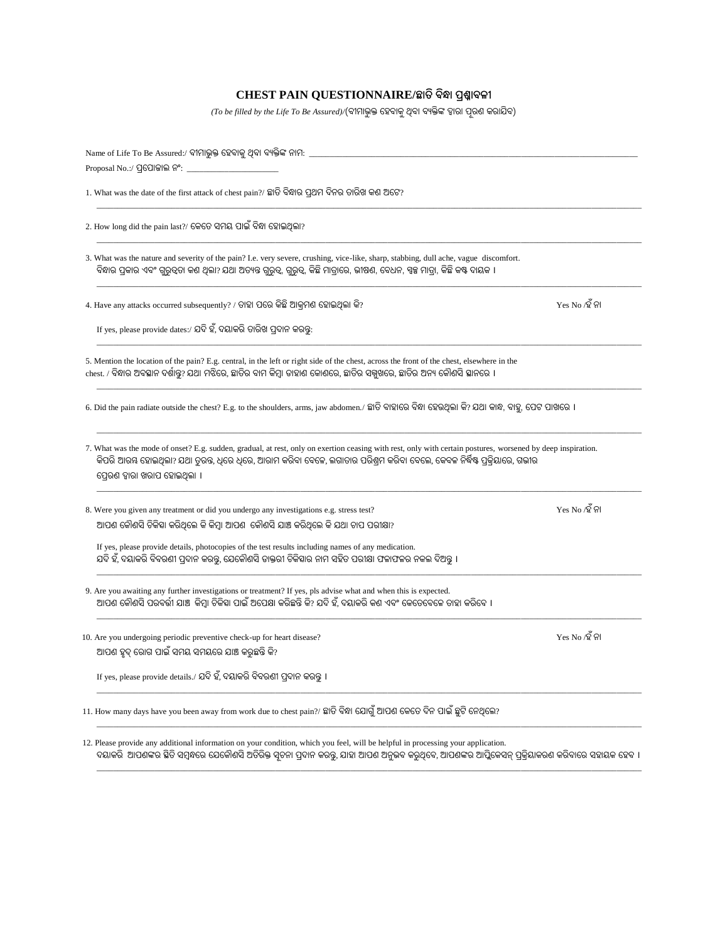## **CHEST PAIN QUESTIONNAIRE/ଛାତି ବିନ୍ଧା ପ୍ରଶ୍ନାବଳୀ**

 $( To \ be \ filled \ by \ the \ Life \ To \ Be \ Assume \ d) /$ ବୀମାଭୁକ୍ତ ହେବାକୁ ଥିବା ବ୍ୟକ୍ତିଙ୍କ ଦ୍ୱାରା ପୂରଣ କରାଯିବ)

| Name of Life To Be Assured:/ ବୀମାଭୁକ୍ତ ହେବାକୁ ଥିବା ବ୍ୟକ୍ତିଙ୍କ ନାମ: $\_$                                                                                                                                                                                                                                             |                |
|---------------------------------------------------------------------------------------------------------------------------------------------------------------------------------------------------------------------------------------------------------------------------------------------------------------------|----------------|
| Proposal No.:/ ପ୍ରପୋଜାଲ ନଂ: _                                                                                                                                                                                                                                                                                       |                |
| 1. What was the date of the first attack of chest pain?/ ଛାତି ବିନ୍ଧାର ପ୍ରଥମ ଦିନର ତାରିଖ କଣ ଅଟେ?                                                                                                                                                                                                                      |                |
| 2. How long did the pain last?/ କେତେ ସମୟ ପାଇଁ ବିନ୍ଧା ହୋଇଥିଲା?                                                                                                                                                                                                                                                       |                |
| 3. What was the nature and severity of the pain? I.e. very severe, crushing, vice-like, sharp, stabbing, dull ache, vague discomfort.<br>ବିନ୍ଧାର ପ୍ରକାର ଏବଂ ଗୁରୁତ୍ୱତା କଣ ଥିଲା? ଯଥା ଅତ୍ୟନ୍ତ ଗୁରୁତ୍ୱ, ଗୁରୁତ୍ୱ, କିଛି ମାତ୍ରାରେ, ଭୀଷଣ, ବେଧନ, ସ୍ୱଚ୍ଚ ମାତ୍ରା, କିଛି କଷ୍ଟ ଦାୟକ ।                                             |                |
| 4. Have any attacks occurred subsequently? / ତାହା ପରେ କିଛି ଆକ୍ରମଣ ହୋଇଥିଲା କି?                                                                                                                                                                                                                                       | Yes No ⁄ହ ଁ ନା |
| If yes, please provide dates:/ ଯଦି ହଁ, ଦୟାକରି ତାରିଖ ପ୍ରଦାନ କରନ୍ତୁ:                                                                                                                                                                                                                                                  |                |
| 5. Mention the location of the pain? E.g. central, in the left or right side of the chest, across the front of the chest, elsewhere in the<br>chest. / ବିନ୍ଧାର ଅବସ୍ଥାନ ଦର୍ଶାକ୍ତ? ଯଥା ମଝିରେ, ଛାତିର ବାମ କିମ୍ବା ଡାହାଣ କୋଶରେ, ଛାତିର ସକ୍ପଖରେ, ଛାତିର ଅନ୍ୟ କୌଶସି ସ୍ଥାନରେ ।                                                 |                |
| 6. Did the pain radiate outside the chest? E.g. to the shoulders, arms, jaw abdomen./ ଛାଡି ବାହାରେ ବିନ୍ଧା ହେଉଥିଲା କି? ଯଥା କାନ୍ଧ, ବାହୁ, ପେଟ ପାଖରେ ।                                                                                                                                                                   |                |
| 7. What was the mode of onset? E.g. sudden, gradual, at rest, only on exertion ceasing with rest, only with certain postures, worsened by deep inspiration.<br>କିପରି ଆରୟ ହୋଇଥିଲା? ଯଥା ତୁରନ୍ତ, ଧୂରେ ଧୂରେ, ଆରାମ କରିବା ବେଳେ, ଲଗାତାର ପରିଶ୍ୱମ କରିବା ବେଲେ, କେବଳ ନିର୍ଦ୍ଧିଷ୍ଟ ପ୍ରକିୟାରେ, ଗଭୀର<br>ପେରଣ ଦ୍ୱାରା ଖରାପ ହୋଇଥିଲା । |                |
| 8. Were you given any treatment or did you undergo any investigations e.g. stress test?<br>ଆପଶ କୌଶସି ଚିକିହା କରିଥିଲେ କି କିମ୍ବା ଆପଶ କୌଶସି ଯାଞ୍ଚ କରିଥିଲେ କି ଯଥା ଚାପ ପରୀକ୍ଷା?                                                                                                                                           | Yes No ⁄ହ ଁନା  |
| If yes, please provide details, photocopies of the test results including names of any medication.<br>ଯଦି ହଁ, ଦୟାକରି ବିବରଣୀ ପ୍ରଦାନ କରନ୍ତୁ, ଯେକୌଣସି ଡାକ୍ତରୀ ଚିକିହାର ନାମ ସହିତ ପରୀକ୍ଷା ଫଳାଫଳର ନକଲ ଦିଅନ୍ତୁ ।                                                                                                            |                |
| 9. Are you awaiting any further investigations or treatment? If yes, pls advise what and when this is expected.<br>ଆପଶ କୌଶସି ପରବର୍ତ୍ତୀ ଯାଞ୍ଚ  କିମ୍ବା ଚିକିହା ପାଇଁ ଅପେକ୍ଷା କରିଛନ୍ତି କି? ଯଦି ହଁ, ଦୟାକରି କଣ ଏବଂ କେତେବେଳେ ତାହା କରିବେ ।                                                                                   |                |
| 10. Are you undergoing periodic preventive check-up for heart disease?<br>ଆପଣ ହୁଦ୍ ରୋଗ ପାଇଁ ସମୟ ସମୟରେ ଯାଞ୍ଚ କରୁଛନ୍ତି କି?                                                                                                                                                                                            | Yes No /ହ ଁନା  |
| If yes, please provide details./ ଯଦି ହଁ, ଦୟାକରି ବିବରଣୀ ପ୍ରଦାନ କରନ୍ତୁ ।                                                                                                                                                                                                                                              |                |
| 11. How many days have you been away from work due to chest pain?/ ଛାତି ବିନ୍ଧା ଯୋଗୁଁ ଆପଣ କେତେ ଦିନ ପାଇଁ ଛୁଟି ନେଥିଲେ?                                                                                                                                                                                                 |                |

12. Please provide any additional information on your condition, which you feel, will be helpful in processing your application. ଦୟାକରି ଆପଣଙ୍କର ସ୍ଥିତି ସମ୍ବନ୍ଧରେ ଯେକୌଣସି ଅତିରିକ୍ତ ସୂଚନା ପ୍ରଦାନ କରନ୍ତୁ, ଯାହା ଆପଣ ଅନୁଭବ କରୁଥିବେ, ଆପଣଙ୍କର ଆପ୍ଲିକେସନ୍ ପ୍ରକ୍ରିୟାକରଣ କରିବାରେ ସହାୟକ ହେବ ।

\_\_\_\_\_\_\_\_\_\_\_\_\_\_\_\_\_\_\_\_\_\_\_\_\_\_\_\_\_\_\_\_\_\_\_\_\_\_\_\_\_\_\_\_\_\_\_\_\_\_\_\_\_\_\_\_\_\_\_\_\_\_\_\_\_\_\_\_\_\_\_\_\_\_\_\_\_\_\_\_\_\_\_\_\_\_\_\_\_\_\_\_\_\_\_\_\_\_\_\_\_\_\_\_\_\_\_\_\_\_\_\_\_\_\_\_\_\_\_\_\_\_\_\_\_\_\_\_\_\_\_